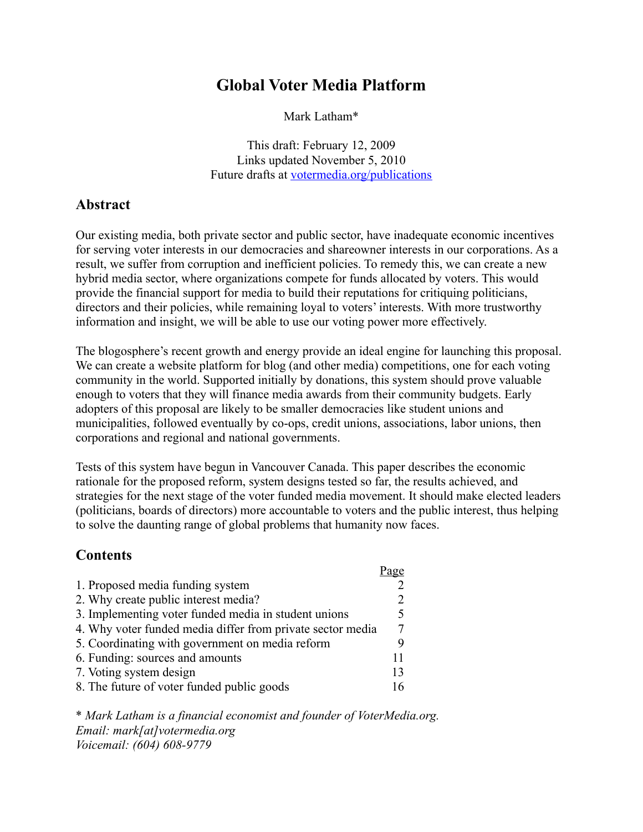# **Global Voter Media Platform**

Mark Latham\*

This draft: February 12, 2009 Links updated November 5, 2010 Future drafts at [votermedia.org/publications](http://votermedia.org/publications)

# **Abstract**

Our existing media, both private sector and public sector, have inadequate economic incentives for serving voter interests in our democracies and shareowner interests in our corporations. As a result, we suffer from corruption and inefficient policies. To remedy this, we can create a new hybrid media sector, where organizations compete for funds allocated by voters. This would provide the financial support for media to build their reputations for critiquing politicians, directors and their policies, while remaining loyal to voters' interests. With more trustworthy information and insight, we will be able to use our voting power more effectively.

The blogosphere's recent growth and energy provide an ideal engine for launching this proposal. We can create a website platform for blog (and other media) competitions, one for each voting community in the world. Supported initially by donations, this system should prove valuable enough to voters that they will finance media awards from their community budgets. Early adopters of this proposal are likely to be smaller democracies like student unions and municipalities, followed eventually by co-ops, credit unions, associations, labor unions, then corporations and regional and national governments.

Tests of this system have begun in Vancouver Canada. This paper describes the economic rationale for the proposed reform, system designs tested so far, the results achieved, and strategies for the next stage of the voter funded media movement. It should make elected leaders (politicians, boards of directors) more accountable to voters and the public interest, thus helping to solve the daunting range of global problems that humanity now faces.

 $D_{\alpha}$ 

### **Contents**

|                                                            | rage |
|------------------------------------------------------------|------|
| 1. Proposed media funding system                           |      |
| 2. Why create public interest media?                       |      |
| 3. Implementing voter funded media in student unions       |      |
| 4. Why voter funded media differ from private sector media |      |
| 5. Coordinating with government on media reform            |      |
| 6. Funding: sources and amounts                            | 11   |
| 7. Voting system design                                    | 13   |
| 8. The future of voter funded public goods                 |      |

\* *Mark Latham is a financial economist and founder of VoterMedia.org. Email: mark[at]votermedia.org Voicemail: (604) 608-9779*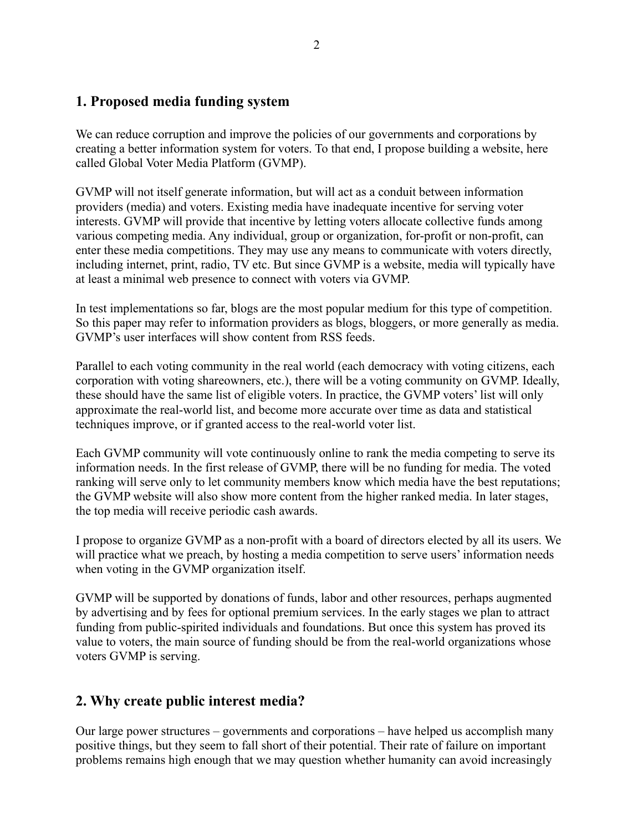### **1. Proposed media funding system**

We can reduce corruption and improve the policies of our governments and corporations by creating a better information system for voters. To that end, I propose building a website, here called Global Voter Media Platform (GVMP).

GVMP will not itself generate information, but will act as a conduit between information providers (media) and voters. Existing media have inadequate incentive for serving voter interests. GVMP will provide that incentive by letting voters allocate collective funds among various competing media. Any individual, group or organization, for-profit or non-profit, can enter these media competitions. They may use any means to communicate with voters directly, including internet, print, radio, TV etc. But since GVMP is a website, media will typically have at least a minimal web presence to connect with voters via GVMP.

In test implementations so far, blogs are the most popular medium for this type of competition. So this paper may refer to information providers as blogs, bloggers, or more generally as media. GVMP's user interfaces will show content from RSS feeds.

Parallel to each voting community in the real world (each democracy with voting citizens, each corporation with voting shareowners, etc.), there will be a voting community on GVMP. Ideally, these should have the same list of eligible voters. In practice, the GVMP voters' list will only approximate the real-world list, and become more accurate over time as data and statistical techniques improve, or if granted access to the real-world voter list.

Each GVMP community will vote continuously online to rank the media competing to serve its information needs. In the first release of GVMP, there will be no funding for media. The voted ranking will serve only to let community members know which media have the best reputations; the GVMP website will also show more content from the higher ranked media. In later stages, the top media will receive periodic cash awards.

I propose to organize GVMP as a non-profit with a board of directors elected by all its users. We will practice what we preach, by hosting a media competition to serve users' information needs when voting in the GVMP organization itself.

GVMP will be supported by donations of funds, labor and other resources, perhaps augmented by advertising and by fees for optional premium services. In the early stages we plan to attract funding from public-spirited individuals and foundations. But once this system has proved its value to voters, the main source of funding should be from the real-world organizations whose voters GVMP is serving.

### **2. Why create public interest media?**

Our large power structures – governments and corporations – have helped us accomplish many positive things, but they seem to fall short of their potential. Their rate of failure on important problems remains high enough that we may question whether humanity can avoid increasingly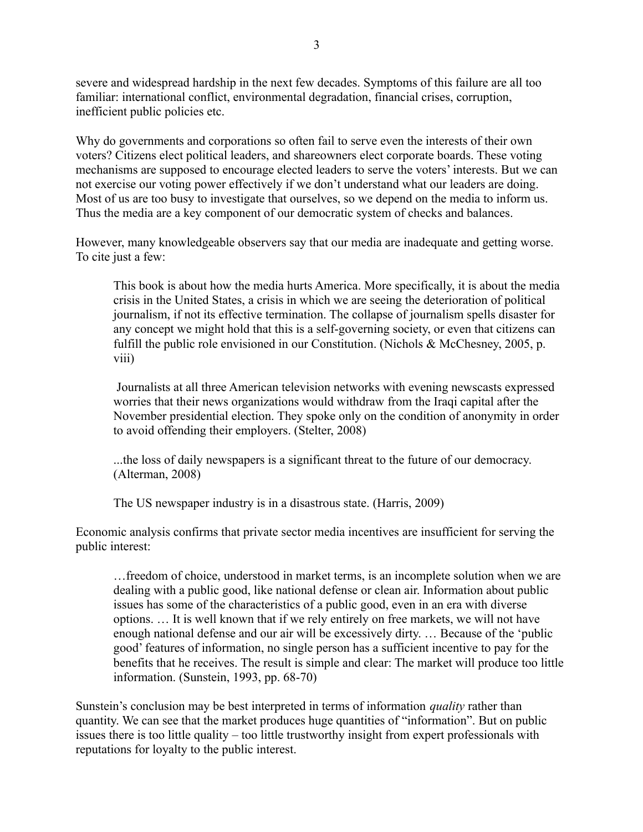severe and widespread hardship in the next few decades. Symptoms of this failure are all too familiar: international conflict, environmental degradation, financial crises, corruption, inefficient public policies etc.

Why do governments and corporations so often fail to serve even the interests of their own voters? Citizens elect political leaders, and shareowners elect corporate boards. These voting mechanisms are supposed to encourage elected leaders to serve the voters' interests. But we can not exercise our voting power effectively if we don't understand what our leaders are doing. Most of us are too busy to investigate that ourselves, so we depend on the media to inform us. Thus the media are a key component of our democratic system of checks and balances.

However, many knowledgeable observers say that our media are inadequate and getting worse. To cite just a few:

This book is about how the media hurts America. More specifically, it is about the media crisis in the United States, a crisis in which we are seeing the deterioration of political journalism, if not its effective termination. The collapse of journalism spells disaster for any concept we might hold that this is a self-governing society, or even that citizens can fulfill the public role envisioned in our Constitution. (Nichols & McChesney, 2005, p. viii)

Journalists at all three American television networks with evening newscasts expressed worries that their news organizations would withdraw from the Iraqi capital after the November presidential election. They spoke only on the condition of anonymity in order to avoid offending their employers. (Stelter, 2008)

...the loss of daily newspapers is a significant threat to the future of our democracy. (Alterman, 2008)

The US newspaper industry is in a disastrous state. (Harris, 2009)

Economic analysis confirms that private sector media incentives are insufficient for serving the public interest:

…freedom of choice, understood in market terms, is an incomplete solution when we are dealing with a public good, like national defense or clean air. Information about public issues has some of the characteristics of a public good, even in an era with diverse options. … It is well known that if we rely entirely on free markets, we will not have enough national defense and our air will be excessively dirty. … Because of the 'public good' features of information, no single person has a sufficient incentive to pay for the benefits that he receives. The result is simple and clear: The market will produce too little information. (Sunstein, 1993, pp. 68-70)

Sunstein's conclusion may be best interpreted in terms of information *quality* rather than quantity. We can see that the market produces huge quantities of "information". But on public issues there is too little quality – too little trustworthy insight from expert professionals with reputations for loyalty to the public interest.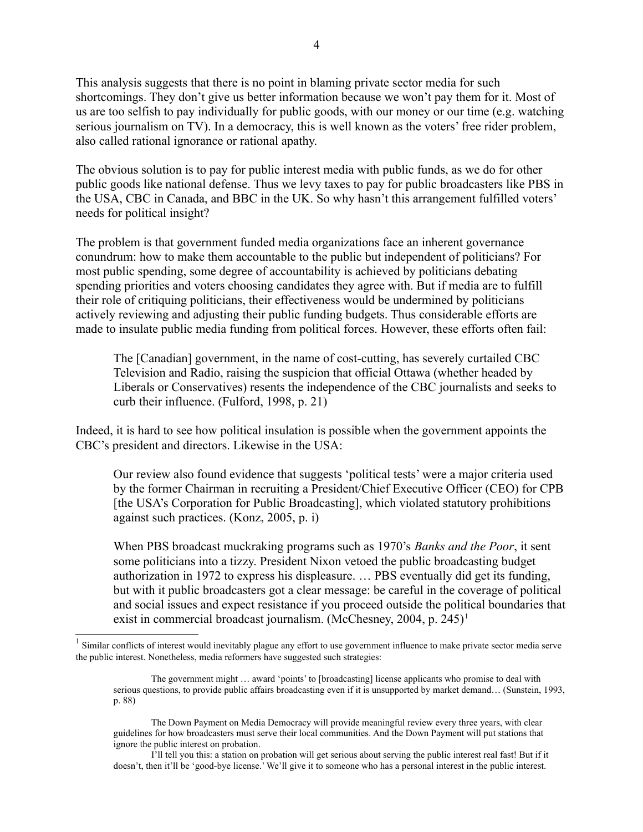This analysis suggests that there is no point in blaming private sector media for such shortcomings. They don't give us better information because we won't pay them for it. Most of us are too selfish to pay individually for public goods, with our money or our time (e.g. watching serious journalism on TV). In a democracy, this is well known as the voters' free rider problem, also called rational ignorance or rational apathy.

The obvious solution is to pay for public interest media with public funds, as we do for other public goods like national defense. Thus we levy taxes to pay for public broadcasters like PBS in the USA, CBC in Canada, and BBC in the UK. So why hasn't this arrangement fulfilled voters' needs for political insight?

The problem is that government funded media organizations face an inherent governance conundrum: how to make them accountable to the public but independent of politicians? For most public spending, some degree of accountability is achieved by politicians debating spending priorities and voters choosing candidates they agree with. But if media are to fulfill their role of critiquing politicians, their effectiveness would be undermined by politicians actively reviewing and adjusting their public funding budgets. Thus considerable efforts are made to insulate public media funding from political forces. However, these efforts often fail:

The [Canadian] government, in the name of cost-cutting, has severely curtailed CBC Television and Radio, raising the suspicion that official Ottawa (whether headed by Liberals or Conservatives) resents the independence of the CBC journalists and seeks to curb their influence. (Fulford, 1998, p. 21)

Indeed, it is hard to see how political insulation is possible when the government appoints the CBC's president and directors. Likewise in the USA:

Our review also found evidence that suggests 'political tests' were a major criteria used by the former Chairman in recruiting a President/Chief Executive Officer (CEO) for CPB [the USA's Corporation for Public Broadcasting], which violated statutory prohibitions against such practices. (Konz, 2005, p. i)

When PBS broadcast muckraking programs such as 1970's *Banks and the Poor*, it sent some politicians into a tizzy. President Nixon vetoed the public broadcasting budget authorization in 1972 to express his displeasure. … PBS eventually did get its funding, but with it public broadcasters got a clear message: be careful in the coverage of political and social issues and expect resistance if you proceed outside the political boundaries that exist in commercial broadcast journalism. (McChesney, 2004, p. 245)<sup>[1](#page-3-0)</sup>

I'll tell you this: a station on probation will get serious about serving the public interest real fast! But if it doesn't, then it'll be 'good-bye license.' We'll give it to someone who has a personal interest in the public interest.

<span id="page-3-0"></span> $<sup>1</sup>$  Similar conflicts of interest would inevitably plague any effort to use government influence to make private sector media serve</sup> the public interest. Nonetheless, media reformers have suggested such strategies:

The government might … award 'points' to [broadcasting] license applicants who promise to deal with serious questions, to provide public affairs broadcasting even if it is unsupported by market demand… (Sunstein, 1993, p. 88)

The Down Payment on Media Democracy will provide meaningful review every three years, with clear guidelines for how broadcasters must serve their local communities. And the Down Payment will put stations that ignore the public interest on probation.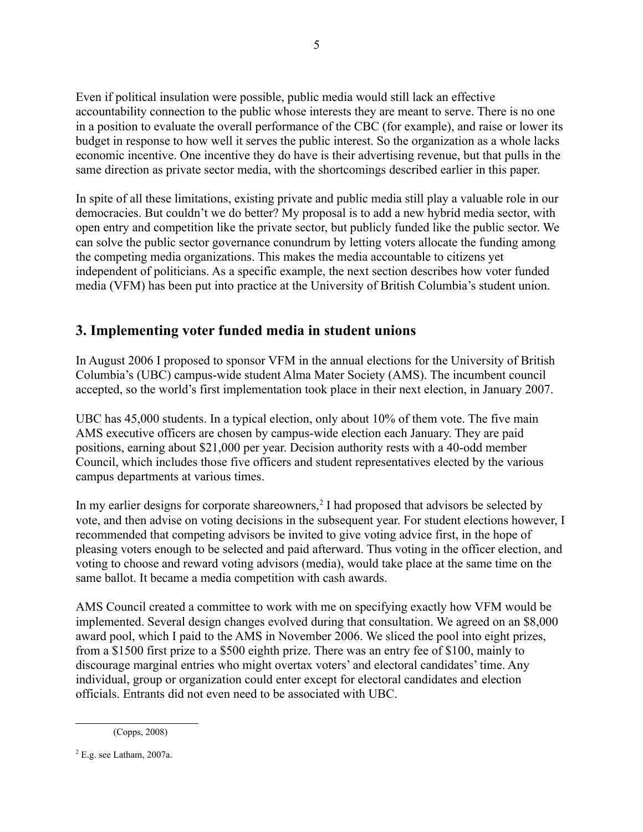Even if political insulation were possible, public media would still lack an effective accountability connection to the public whose interests they are meant to serve. There is no one in a position to evaluate the overall performance of the CBC (for example), and raise or lower its budget in response to how well it serves the public interest. So the organization as a whole lacks economic incentive. One incentive they do have is their advertising revenue, but that pulls in the same direction as private sector media, with the shortcomings described earlier in this paper.

In spite of all these limitations, existing private and public media still play a valuable role in our democracies. But couldn't we do better? My proposal is to add a new hybrid media sector, with open entry and competition like the private sector, but publicly funded like the public sector. We can solve the public sector governance conundrum by letting voters allocate the funding among the competing media organizations. This makes the media accountable to citizens yet independent of politicians. As a specific example, the next section describes how voter funded media (VFM) has been put into practice at the University of British Columbia's student union.

# **3. Implementing voter funded media in student unions**

In August 2006 I proposed to sponsor VFM in the annual elections for the University of British Columbia's (UBC) campus-wide student Alma Mater Society (AMS). The incumbent council accepted, so the world's first implementation took place in their next election, in January 2007.

UBC has 45,000 students. In a typical election, only about 10% of them vote. The five main AMS executive officers are chosen by campus-wide election each January. They are paid positions, earning about \$21,000 per year. Decision authority rests with a 40-odd member Council, which includes those five officers and student representatives elected by the various campus departments at various times.

In my earlier designs for corporate shareowners,<sup>[2](#page-4-0)</sup> I had proposed that advisors be selected by vote, and then advise on voting decisions in the subsequent year. For student elections however, I recommended that competing advisors be invited to give voting advice first, in the hope of pleasing voters enough to be selected and paid afterward. Thus voting in the officer election, and voting to choose and reward voting advisors (media), would take place at the same time on the same ballot. It became a media competition with cash awards.

AMS Council created a committee to work with me on specifying exactly how VFM would be implemented. Several design changes evolved during that consultation. We agreed on an \$8,000 award pool, which I paid to the AMS in November 2006. We sliced the pool into eight prizes, from a \$1500 first prize to a \$500 eighth prize. There was an entry fee of \$100, mainly to discourage marginal entries who might overtax voters' and electoral candidates' time. Any individual, group or organization could enter except for electoral candidates and election officials. Entrants did not even need to be associated with UBC.

<sup>(</sup>Copps, 2008)

<span id="page-4-0"></span> $2$  E.g. see Latham, 2007a.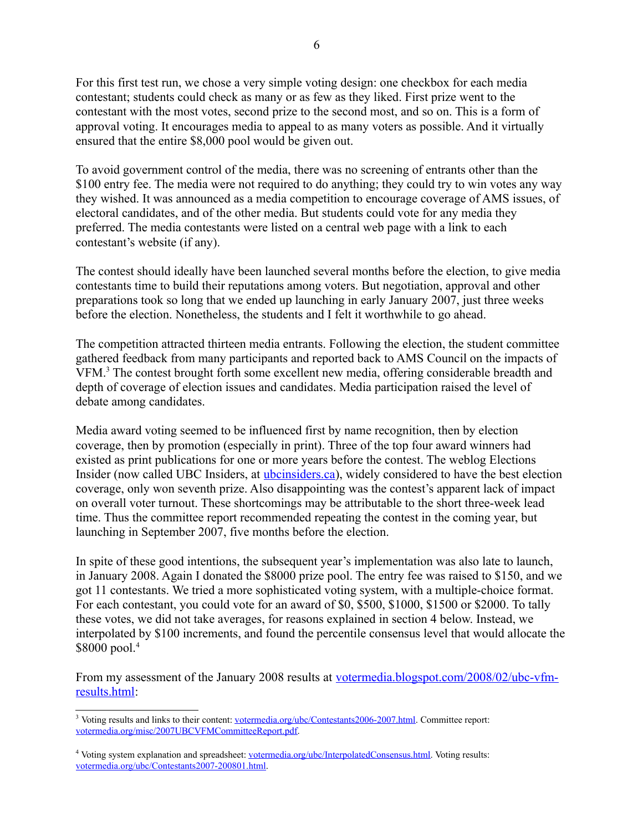For this first test run, we chose a very simple voting design: one checkbox for each media contestant; students could check as many or as few as they liked. First prize went to the contestant with the most votes, second prize to the second most, and so on. This is a form of approval voting. It encourages media to appeal to as many voters as possible. And it virtually ensured that the entire \$8,000 pool would be given out.

To avoid government control of the media, there was no screening of entrants other than the \$100 entry fee. The media were not required to do anything; they could try to win votes any way they wished. It was announced as a media competition to encourage coverage of AMS issues, of electoral candidates, and of the other media. But students could vote for any media they preferred. The media contestants were listed on a central web page with a link to each contestant's website (if any).

The contest should ideally have been launched several months before the election, to give media contestants time to build their reputations among voters. But negotiation, approval and other preparations took so long that we ended up launching in early January 2007, just three weeks before the election. Nonetheless, the students and I felt it worthwhile to go ahead.

The competition attracted thirteen media entrants. Following the election, the student committee gathered feedback from many participants and reported back to AMS Council on the impacts of VFM.<sup>[3](#page-5-0)</sup> The contest brought forth some excellent new media, offering considerable breadth and depth of coverage of election issues and candidates. Media participation raised the level of debate among candidates.

Media award voting seemed to be influenced first by name recognition, then by election coverage, then by promotion (especially in print). Three of the top four award winners had existed as print publications for one or more years before the contest. The weblog Elections Insider (now called UBC Insiders, at [ubcinsiders.ca\)](http://ubcinsiders.ca/), widely considered to have the best election coverage, only won seventh prize. Also disappointing was the contest's apparent lack of impact on overall voter turnout. These shortcomings may be attributable to the short three-week lead time. Thus the committee report recommended repeating the contest in the coming year, but launching in September 2007, five months before the election.

In spite of these good intentions, the subsequent year's implementation was also late to launch, in January 2008. Again I donated the \$8000 prize pool. The entry fee was raised to \$150, and we got 11 contestants. We tried a more sophisticated voting system, with a multiple-choice format. For each contestant, you could vote for an award of \$0, \$500, \$1000, \$1500 or \$2000. To tally these votes, we did not take averages, for reasons explained in section 4 below. Instead, we interpolated by \$100 increments, and found the percentile consensus level that would allocate the \$8000 pool.<sup>[4](#page-5-1)</sup>

From my assessment of the January 2008 results at [votermedia.blogspot.com/2008/02/ubc-vfm](http://votermedia.blogspot.com/2008/02/ubc-vfm-results.html)[results.html:](http://votermedia.blogspot.com/2008/02/ubc-vfm-results.html)

<span id="page-5-0"></span><sup>&</sup>lt;sup>3</sup> Voting results and links to their content: [votermedia.org/ubc/Contestants2006-2007.html.](http://votermedia.org/ubc/Contestants2006-2007.html) Committee report: [votermedia.org/misc/2007UBCVFMCommitteeReport.pdf.](http://votermedia.org/misc/2007UBCVFMCommitteeReport.pdf)

<span id="page-5-1"></span><sup>&</sup>lt;sup>4</sup> Voting system explanation and spreadsheet: [votermedia.org/ubc/InterpolatedConsensus.html.](http://votermedia.org/ubc/InterpolatedConsensus.html) Voting results: [votermedia.org/ubc/Contestants2007-200801.html.](http://votermedia.org/ubc/Contestants2007-200801.html)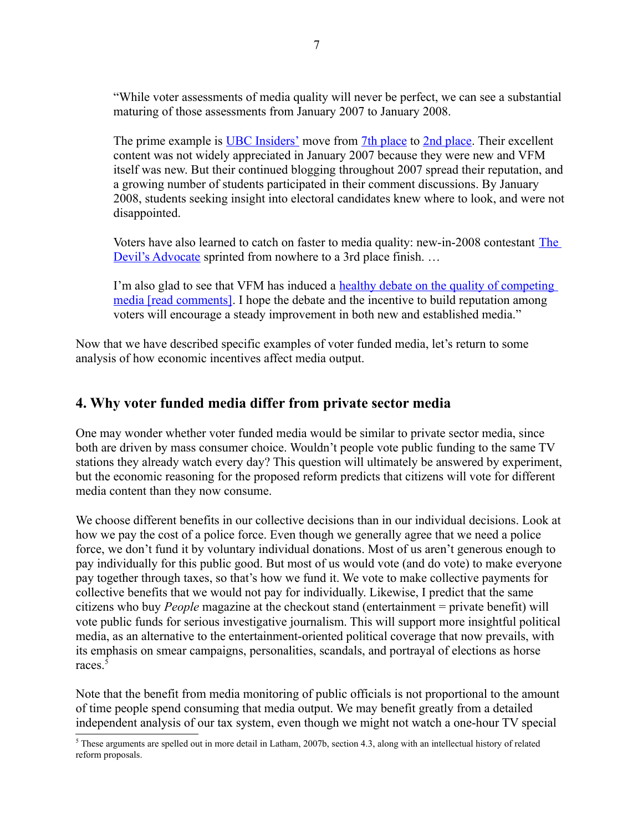"While voter assessments of media quality will never be perfect, we can see a substantial maturing of those assessments from January 2007 to January 2008.

The prime example is [UBC Insiders'](http://ubcinsiders.blogspot.com/) move from [7th place](http://votermedia.org/ubc/Contestants2006-2007.html) to [2nd place.](http://votermedia.org/ubc/Contestants2007-200801.html) Their excellent content was not widely appreciated in January 2007 because they were new and VFM itself was new. But their continued blogging throughout 2007 spread their reputation, and a growing number of students participated in their comment discussions. By January 2008, students seeking insight into electoral candidates knew where to look, and were not disappointed.

Voters have also learned to catch on faster to media quality: new-in-2008 contestant [The](http://ubcdevilsadvocate.blogspot.com/) [Devil's Advocate](http://ubcdevilsadvocate.blogspot.com/) sprinted from nowhere to a 3rd place finish. …

I'm also glad to see that VFM has induced a [healthy debate on the quality of competing](http://ubcinsiders.blogspot.com/2008/02/voter-funded-media-results.html) [media \[read comments\].](http://ubcinsiders.blogspot.com/2008/02/voter-funded-media-results.html) I hope the debate and the incentive to build reputation among voters will encourage a steady improvement in both new and established media."

Now that we have described specific examples of voter funded media, let's return to some analysis of how economic incentives affect media output.

# **4. Why voter funded media differ from private sector media**

One may wonder whether voter funded media would be similar to private sector media, since both are driven by mass consumer choice. Wouldn't people vote public funding to the same TV stations they already watch every day? This question will ultimately be answered by experiment, but the economic reasoning for the proposed reform predicts that citizens will vote for different media content than they now consume.

We choose different benefits in our collective decisions than in our individual decisions. Look at how we pay the cost of a police force. Even though we generally agree that we need a police force, we don't fund it by voluntary individual donations. Most of us aren't generous enough to pay individually for this public good. But most of us would vote (and do vote) to make everyone pay together through taxes, so that's how we fund it. We vote to make collective payments for collective benefits that we would not pay for individually. Likewise, I predict that the same citizens who buy *People* magazine at the checkout stand (entertainment = private benefit) will vote public funds for serious investigative journalism. This will support more insightful political media, as an alternative to the entertainment-oriented political coverage that now prevails, with its emphasis on smear campaigns, personalities, scandals, and portrayal of elections as horse races.<sup>[5](#page-6-0)</sup>

Note that the benefit from media monitoring of public officials is not proportional to the amount of time people spend consuming that media output. We may benefit greatly from a detailed independent analysis of our tax system, even though we might not watch a one-hour TV special

<span id="page-6-0"></span> $5$  These arguments are spelled out in more detail in Latham, 2007b, section 4.3, along with an intellectual history of related reform proposals.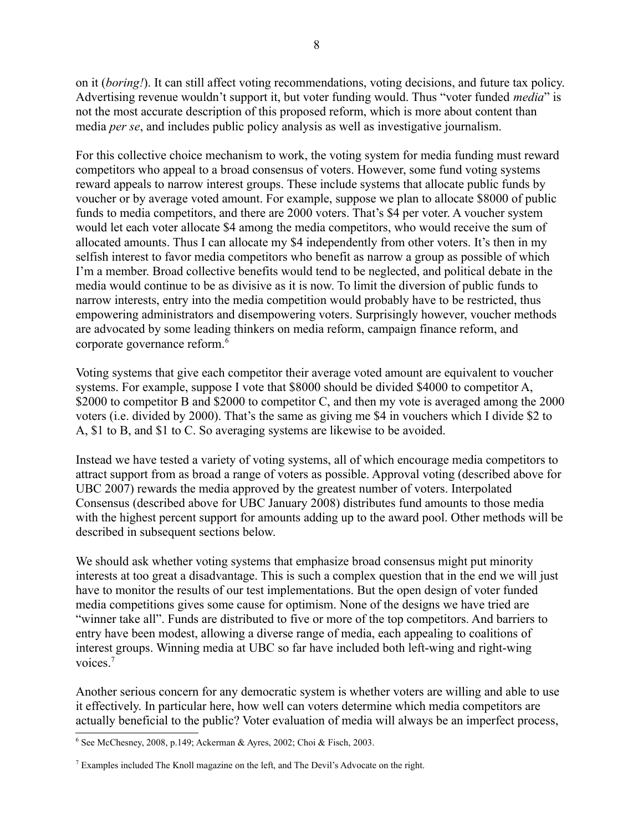on it (*boring!*). It can still affect voting recommendations, voting decisions, and future tax policy. Advertising revenue wouldn't support it, but voter funding would. Thus "voter funded *media*" is not the most accurate description of this proposed reform, which is more about content than media *per se*, and includes public policy analysis as well as investigative journalism.

For this collective choice mechanism to work, the voting system for media funding must reward competitors who appeal to a broad consensus of voters. However, some fund voting systems reward appeals to narrow interest groups. These include systems that allocate public funds by voucher or by average voted amount. For example, suppose we plan to allocate \$8000 of public funds to media competitors, and there are 2000 voters. That's \$4 per voter. A voucher system would let each voter allocate \$4 among the media competitors, who would receive the sum of allocated amounts. Thus I can allocate my \$4 independently from other voters. It's then in my selfish interest to favor media competitors who benefit as narrow a group as possible of which I'm a member. Broad collective benefits would tend to be neglected, and political debate in the media would continue to be as divisive as it is now. To limit the diversion of public funds to narrow interests, entry into the media competition would probably have to be restricted, thus empowering administrators and disempowering voters. Surprisingly however, voucher methods are advocated by some leading thinkers on media reform, campaign finance reform, and corporate governance reform.<sup>[6](#page-7-0)</sup>

Voting systems that give each competitor their average voted amount are equivalent to voucher systems. For example, suppose I vote that \$8000 should be divided \$4000 to competitor A, \$2000 to competitor B and \$2000 to competitor C, and then my vote is averaged among the 2000 voters (i.e. divided by 2000). That's the same as giving me \$4 in vouchers which I divide \$2 to A, \$1 to B, and \$1 to C. So averaging systems are likewise to be avoided.

Instead we have tested a variety of voting systems, all of which encourage media competitors to attract support from as broad a range of voters as possible. Approval voting (described above for UBC 2007) rewards the media approved by the greatest number of voters. Interpolated Consensus (described above for UBC January 2008) distributes fund amounts to those media with the highest percent support for amounts adding up to the award pool. Other methods will be described in subsequent sections below.

We should ask whether voting systems that emphasize broad consensus might put minority interests at too great a disadvantage. This is such a complex question that in the end we will just have to monitor the results of our test implementations. But the open design of voter funded media competitions gives some cause for optimism. None of the designs we have tried are "winner take all". Funds are distributed to five or more of the top competitors. And barriers to entry have been modest, allowing a diverse range of media, each appealing to coalitions of interest groups. Winning media at UBC so far have included both left-wing and right-wing voices<sup>[7](#page-7-1)</sup>

Another serious concern for any democratic system is whether voters are willing and able to use it effectively. In particular here, how well can voters determine which media competitors are actually beneficial to the public? Voter evaluation of media will always be an imperfect process,

<span id="page-7-0"></span> $6$  See McChesney, 2008, p.149; Ackerman & Ayres, 2002; Choi & Fisch, 2003.

<span id="page-7-1"></span><sup>7</sup> Examples included The Knoll magazine on the left, and The Devil's Advocate on the right.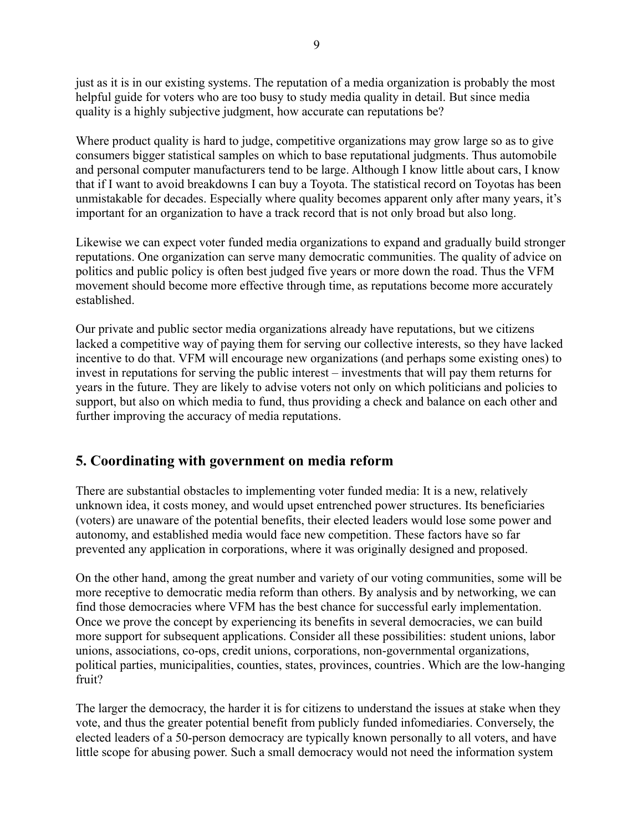just as it is in our existing systems. The reputation of a media organization is probably the most helpful guide for voters who are too busy to study media quality in detail. But since media quality is a highly subjective judgment, how accurate can reputations be?

Where product quality is hard to judge, competitive organizations may grow large so as to give consumers bigger statistical samples on which to base reputational judgments. Thus automobile and personal computer manufacturers tend to be large. Although I know little about cars, I know that if I want to avoid breakdowns I can buy a Toyota. The statistical record on Toyotas has been unmistakable for decades. Especially where quality becomes apparent only after many years, it's important for an organization to have a track record that is not only broad but also long.

Likewise we can expect voter funded media organizations to expand and gradually build stronger reputations. One organization can serve many democratic communities. The quality of advice on politics and public policy is often best judged five years or more down the road. Thus the VFM movement should become more effective through time, as reputations become more accurately established.

Our private and public sector media organizations already have reputations, but we citizens lacked a competitive way of paying them for serving our collective interests, so they have lacked incentive to do that. VFM will encourage new organizations (and perhaps some existing ones) to invest in reputations for serving the public interest – investments that will pay them returns for years in the future. They are likely to advise voters not only on which politicians and policies to support, but also on which media to fund, thus providing a check and balance on each other and further improving the accuracy of media reputations.

# **5. Coordinating with government on media reform**

There are substantial obstacles to implementing voter funded media: It is a new, relatively unknown idea, it costs money, and would upset entrenched power structures. Its beneficiaries (voters) are unaware of the potential benefits, their elected leaders would lose some power and autonomy, and established media would face new competition. These factors have so far prevented any application in corporations, where it was originally designed and proposed.

On the other hand, among the great number and variety of our voting communities, some will be more receptive to democratic media reform than others. By analysis and by networking, we can find those democracies where VFM has the best chance for successful early implementation. Once we prove the concept by experiencing its benefits in several democracies, we can build more support for subsequent applications. Consider all these possibilities: student unions, labor unions, associations, co-ops, credit unions, corporations, non-governmental organizations, political parties, municipalities, counties, states, provinces, countries. Which are the low-hanging fruit?

The larger the democracy, the harder it is for citizens to understand the issues at stake when they vote, and thus the greater potential benefit from publicly funded infomediaries. Conversely, the elected leaders of a 50-person democracy are typically known personally to all voters, and have little scope for abusing power. Such a small democracy would not need the information system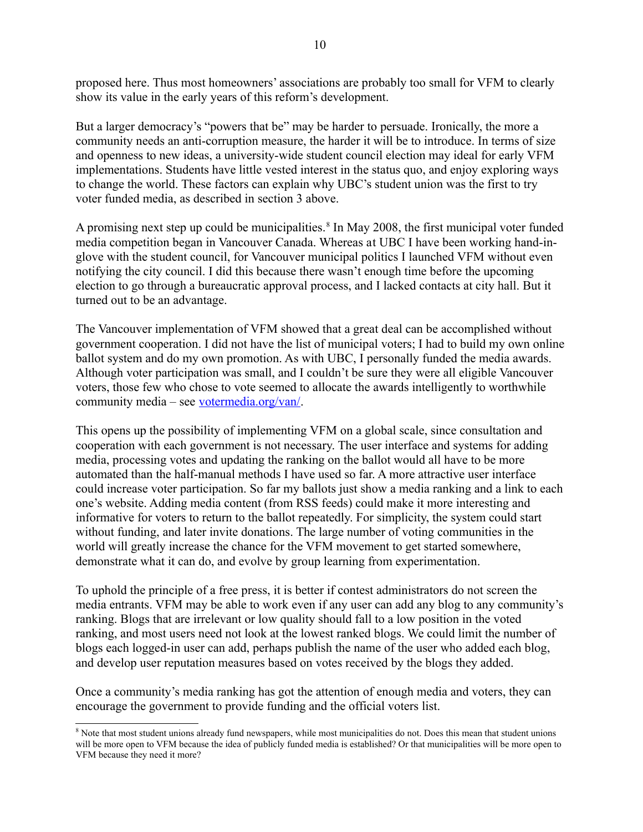proposed here. Thus most homeowners' associations are probably too small for VFM to clearly show its value in the early years of this reform's development.

But a larger democracy's "powers that be" may be harder to persuade. Ironically, the more a community needs an anti-corruption measure, the harder it will be to introduce. In terms of size and openness to new ideas, a university-wide student council election may ideal for early VFM implementations. Students have little vested interest in the status quo, and enjoy exploring ways to change the world. These factors can explain why UBC's student union was the first to try voter funded media, as described in section 3 above.

A promising next step up could be municipalities.<sup>[8](#page-9-0)</sup> In May 2008, the first municipal voter funded media competition began in Vancouver Canada. Whereas at UBC I have been working hand-inglove with the student council, for Vancouver municipal politics I launched VFM without even notifying the city council. I did this because there wasn't enough time before the upcoming election to go through a bureaucratic approval process, and I lacked contacts at city hall. But it turned out to be an advantage.

The Vancouver implementation of VFM showed that a great deal can be accomplished without government cooperation. I did not have the list of municipal voters; I had to build my own online ballot system and do my own promotion. As with UBC, I personally funded the media awards. Although voter participation was small, and I couldn't be sure they were all eligible Vancouver voters, those few who chose to vote seemed to allocate the awards intelligently to worthwhile community media – see [votermedia.org/van/.](http://votermedia.org/van/)

This opens up the possibility of implementing VFM on a global scale, since consultation and cooperation with each government is not necessary. The user interface and systems for adding media, processing votes and updating the ranking on the ballot would all have to be more automated than the half-manual methods I have used so far. A more attractive user interface could increase voter participation. So far my ballots just show a media ranking and a link to each one's website. Adding media content (from RSS feeds) could make it more interesting and informative for voters to return to the ballot repeatedly. For simplicity, the system could start without funding, and later invite donations. The large number of voting communities in the world will greatly increase the chance for the VFM movement to get started somewhere, demonstrate what it can do, and evolve by group learning from experimentation.

To uphold the principle of a free press, it is better if contest administrators do not screen the media entrants. VFM may be able to work even if any user can add any blog to any community's ranking. Blogs that are irrelevant or low quality should fall to a low position in the voted ranking, and most users need not look at the lowest ranked blogs. We could limit the number of blogs each logged-in user can add, perhaps publish the name of the user who added each blog, and develop user reputation measures based on votes received by the blogs they added.

Once a community's media ranking has got the attention of enough media and voters, they can encourage the government to provide funding and the official voters list.

<span id="page-9-0"></span><sup>&</sup>lt;sup>8</sup> Note that most student unions already fund newspapers, while most municipalities do not. Does this mean that student unions will be more open to VFM because the idea of publicly funded media is established? Or that municipalities will be more open to VFM because they need it more?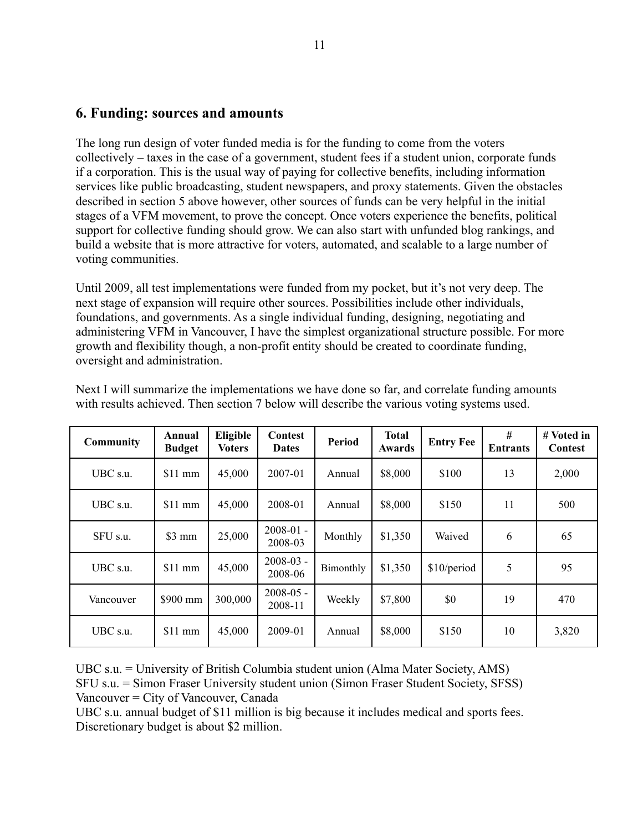#### **6. Funding: sources and amounts**

The long run design of voter funded media is for the funding to come from the voters collectively – taxes in the case of a government, student fees if a student union, corporate funds if a corporation. This is the usual way of paying for collective benefits, including information services like public broadcasting, student newspapers, and proxy statements. Given the obstacles described in section 5 above however, other sources of funds can be very helpful in the initial stages of a VFM movement, to prove the concept. Once voters experience the benefits, political support for collective funding should grow. We can also start with unfunded blog rankings, and build a website that is more attractive for voters, automated, and scalable to a large number of voting communities.

Until 2009, all test implementations were funded from my pocket, but it's not very deep. The next stage of expansion will require other sources. Possibilities include other individuals, foundations, and governments. As a single individual funding, designing, negotiating and administering VFM in Vancouver, I have the simplest organizational structure possible. For more growth and flexibility though, a non-profit entity should be created to coordinate funding, oversight and administration.

| <b>Community</b> | Annual<br><b>Budget</b> | Eligible<br><b>Voters</b> | <b>Contest</b><br><b>Dates</b> | <b>Period</b> | <b>Total</b><br><b>Awards</b> | <b>Entry Fee</b> | #<br><b>Entrants</b> | # Voted in<br>Contest |
|------------------|-------------------------|---------------------------|--------------------------------|---------------|-------------------------------|------------------|----------------------|-----------------------|
| UBC s.u.         | $$11$ mm                | 45,000                    | 2007-01                        | Annual        | \$8,000                       | \$100            | 13                   | 2,000                 |
| UBC s.u.         | $$11$ mm                | 45,000                    | 2008-01                        | Annual        | \$8,000                       | \$150            | 11                   | 500                   |
| SFU s.u.         | $$3 \text{ mm}$         | 25,000                    | $2008 - 01 -$<br>2008-03       | Monthly       | \$1,350                       | Waived           | 6                    | 65                    |
| UBC s.u.         | $$11$ mm                | 45,000                    | $2008 - 03 -$<br>2008-06       | Bimonthly     | \$1,350                       | \$10/period      | 5                    | 95                    |
| Vancouver        | \$900 mm                | 300,000                   | $2008 - 05 -$<br>2008-11       | Weekly        | \$7,800                       | \$0              | 19                   | 470                   |
| UBC s.u.         | $$11$ mm                | 45,000                    | 2009-01                        | Annual        | \$8,000                       | \$150            | 10                   | 3,820                 |

Next I will summarize the implementations we have done so far, and correlate funding amounts with results achieved. Then section 7 below will describe the various voting systems used.

UBC s.u. = University of British Columbia student union (Alma Mater Society, AMS) SFU s.u. = Simon Fraser University student union (Simon Fraser Student Society, SFSS) Vancouver = City of Vancouver, Canada

UBC s.u. annual budget of \$11 million is big because it includes medical and sports fees. Discretionary budget is about \$2 million.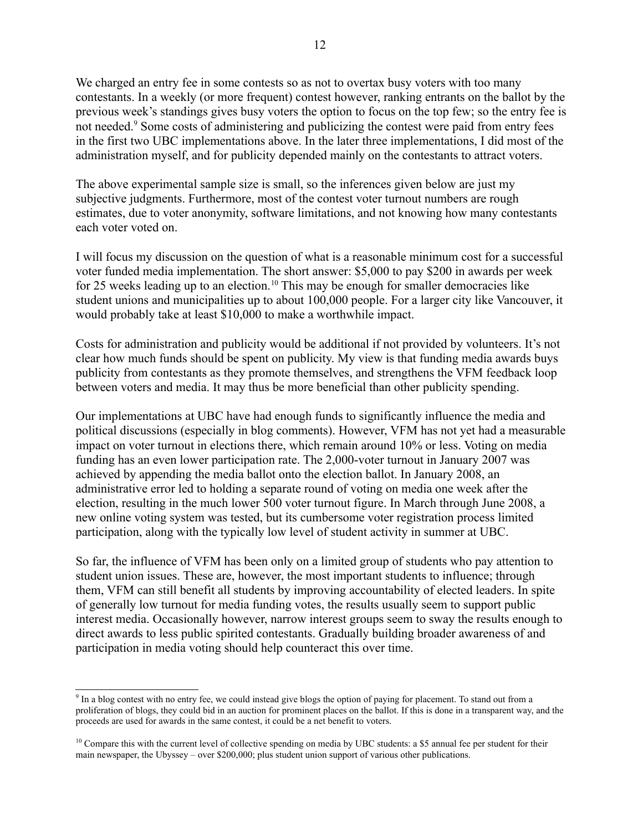We charged an entry fee in some contests so as not to overtax busy voters with too many contestants. In a weekly (or more frequent) contest however, ranking entrants on the ballot by the previous week's standings gives busy voters the option to focus on the top few; so the entry fee is not needed.<sup>[9](#page-11-0)</sup> Some costs of administering and publicizing the contest were paid from entry fees in the first two UBC implementations above. In the later three implementations, I did most of the administration myself, and for publicity depended mainly on the contestants to attract voters.

The above experimental sample size is small, so the inferences given below are just my subjective judgments. Furthermore, most of the contest voter turnout numbers are rough estimates, due to voter anonymity, software limitations, and not knowing how many contestants each voter voted on.

I will focus my discussion on the question of what is a reasonable minimum cost for a successful voter funded media implementation. The short answer: \$5,000 to pay \$200 in awards per week for 25 weeks leading up to an election.<sup>[10](#page-11-1)</sup> This may be enough for smaller democracies like student unions and municipalities up to about 100,000 people. For a larger city like Vancouver, it would probably take at least \$10,000 to make a worthwhile impact.

Costs for administration and publicity would be additional if not provided by volunteers. It's not clear how much funds should be spent on publicity. My view is that funding media awards buys publicity from contestants as they promote themselves, and strengthens the VFM feedback loop between voters and media. It may thus be more beneficial than other publicity spending.

Our implementations at UBC have had enough funds to significantly influence the media and political discussions (especially in blog comments). However, VFM has not yet had a measurable impact on voter turnout in elections there, which remain around 10% or less. Voting on media funding has an even lower participation rate. The 2,000-voter turnout in January 2007 was achieved by appending the media ballot onto the election ballot. In January 2008, an administrative error led to holding a separate round of voting on media one week after the election, resulting in the much lower 500 voter turnout figure. In March through June 2008, a new online voting system was tested, but its cumbersome voter registration process limited participation, along with the typically low level of student activity in summer at UBC.

So far, the influence of VFM has been only on a limited group of students who pay attention to student union issues. These are, however, the most important students to influence; through them, VFM can still benefit all students by improving accountability of elected leaders. In spite of generally low turnout for media funding votes, the results usually seem to support public interest media. Occasionally however, narrow interest groups seem to sway the results enough to direct awards to less public spirited contestants. Gradually building broader awareness of and participation in media voting should help counteract this over time.

<span id="page-11-0"></span><sup>&</sup>lt;sup>9</sup> In a blog contest with no entry fee, we could instead give blogs the option of paying for placement. To stand out from a proliferation of blogs, they could bid in an auction for prominent places on the ballot. If this is done in a transparent way, and the proceeds are used for awards in the same contest, it could be a net benefit to voters.

<span id="page-11-1"></span> $10$  Compare this with the current level of collective spending on media by UBC students: a \$5 annual fee per student for their main newspaper, the Ubyssey – over \$200,000; plus student union support of various other publications.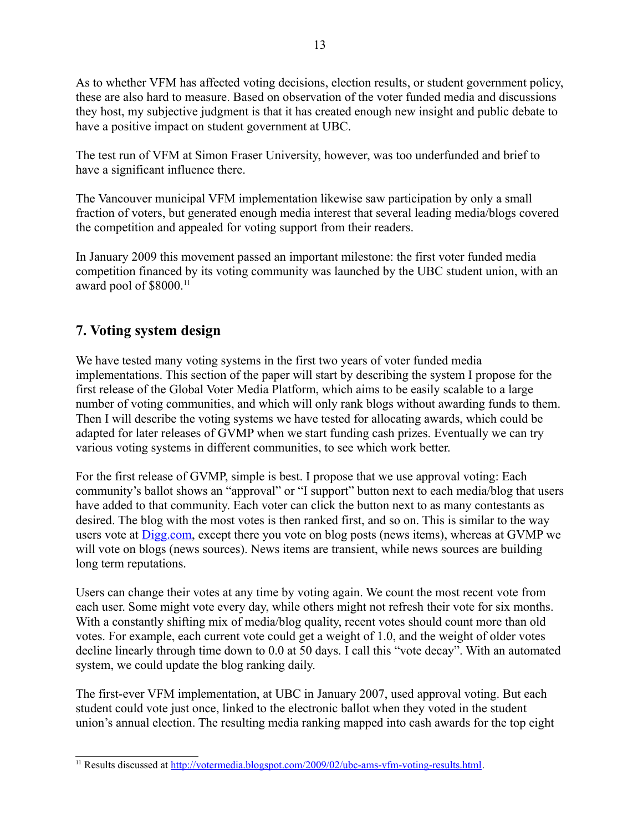As to whether VFM has affected voting decisions, election results, or student government policy, these are also hard to measure. Based on observation of the voter funded media and discussions they host, my subjective judgment is that it has created enough new insight and public debate to have a positive impact on student government at UBC.

The test run of VFM at Simon Fraser University, however, was too underfunded and brief to have a significant influence there.

The Vancouver municipal VFM implementation likewise saw participation by only a small fraction of voters, but generated enough media interest that several leading media/blogs covered the competition and appealed for voting support from their readers.

In January 2009 this movement passed an important milestone: the first voter funded media competition financed by its voting community was launched by the UBC student union, with an award pool of \$8000.<sup>[11](#page-12-0)</sup>

# **7. Voting system design**

We have tested many voting systems in the first two years of voter funded media implementations. This section of the paper will start by describing the system I propose for the first release of the Global Voter Media Platform, which aims to be easily scalable to a large number of voting communities, and which will only rank blogs without awarding funds to them. Then I will describe the voting systems we have tested for allocating awards, which could be adapted for later releases of GVMP when we start funding cash prizes. Eventually we can try various voting systems in different communities, to see which work better.

For the first release of GVMP, simple is best. I propose that we use approval voting: Each community's ballot shows an "approval" or "I support" button next to each media/blog that users have added to that community. Each voter can click the button next to as many contestants as desired. The blog with the most votes is then ranked first, and so on. This is similar to the way users vote at [Digg.com,](http://digg.com/) except there you vote on blog posts (news items), whereas at GVMP we will vote on blogs (news sources). News items are transient, while news sources are building long term reputations.

Users can change their votes at any time by voting again. We count the most recent vote from each user. Some might vote every day, while others might not refresh their vote for six months. With a constantly shifting mix of media/blog quality, recent votes should count more than old votes. For example, each current vote could get a weight of 1.0, and the weight of older votes decline linearly through time down to 0.0 at 50 days. I call this "vote decay". With an automated system, we could update the blog ranking daily.

The first-ever VFM implementation, at UBC in January 2007, used approval voting. But each student could vote just once, linked to the electronic ballot when they voted in the student union's annual election. The resulting media ranking mapped into cash awards for the top eight

<span id="page-12-0"></span><sup>&</sup>lt;sup>11</sup> Results discussed at [http://votermedia.blogspot.com/2009/02/ubc-ams-vfm-voting-results.html.](http://votermedia.blogspot.com/2009/02/ubc-ams-vfm-voting-results.html)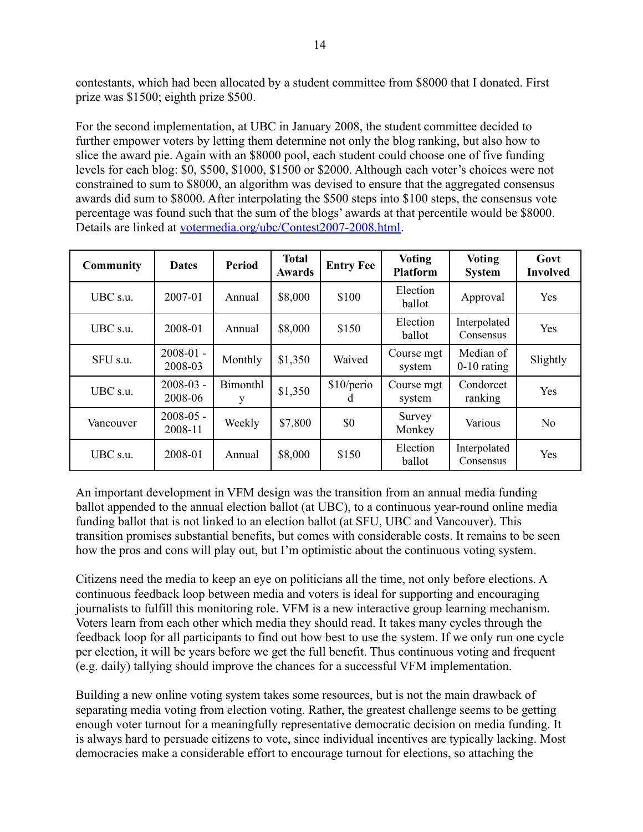contestants, which had been allocated by a student committee from \$8000 that I donated. First prize was \$1500; eighth prize \$500.

For the second implementation, at UBC in January 2008, the student committee decided to further empower voters by letting them determine not only the blog ranking, but also how to slice the award pie. Again with an \$8000 pool, each student could choose one of five funding levels for each blog: \$0, \$500, \$1000, \$1500 or \$2000. Although each voter's choices were not constrained to sum to \$8000, an algorithm was devised to ensure that the aggregated consensus awards did sum to \$8000. After interpolating the \$500 steps into \$100 steps, the consensus vote percentage was found such that the sum of the blogs' awards at that percentile would be \$8000. Details are linked at [votermedia.org/ubc/Contest2007-2008.html.](http://votermedia.org/ubc/Contest2007-2008.html)

| <b>Community</b> | <b>Dates</b>             | <b>Period</b> | <b>Total</b><br><b>Awards</b> | <b>Entry Fee</b> | <b>Voting</b><br><b>Platform</b> | <b>Voting</b><br><b>System</b> | Govt<br><b>Involved</b> |
|------------------|--------------------------|---------------|-------------------------------|------------------|----------------------------------|--------------------------------|-------------------------|
| UBC s.u.         | 2007-01                  | Annual        | \$8,000                       | \$100            | Election<br>ballot               | Approval                       | Yes                     |
| UBC s.u.         | 2008-01                  | Annual        | \$8,000                       | \$150            | Election<br>ballot               | Interpolated<br>Consensus      | Yes                     |
| SFU s.u.         | $2008 - 01$ -<br>2008-03 | Monthly       | \$1,350                       | Waived           | Course mgt<br>system             | Median of<br>$0-10$ rating     | Slightly                |
| UBC s.u.         | $2008 - 03$ -<br>2008-06 | Bimonthl<br>у | \$1,350                       | \$10/perio<br>a  | Course mgt<br>system             | Condorcet<br>ranking           | Yes                     |
| Vancouver        | $2008 - 05$ -<br>2008-11 | Weekly        | \$7,800                       | \$0              | Survey<br>Monkey                 | Various                        | N <sub>o</sub>          |
| UBC s.u.         | 2008-01                  | Annual        | \$8,000                       | \$150            | Election<br>ballot               | Interpolated<br>Consensus      | Yes                     |

An important development in VFM design was the transition from an annual media funding ballot appended to the annual election ballot (at UBC), to a continuous year-round online media funding ballot that is not linked to an election ballot (at SFU, UBC and Vancouver). This transition promises substantial benefits, but comes with considerable costs. It remains to be seen how the pros and cons will play out, but I'm optimistic about the continuous voting system.

Citizens need the media to keep an eye on politicians all the time, not only before elections. A continuous feedback loop between media and voters is ideal for supporting and encouraging journalists to fulfill this monitoring role. VFM is a new interactive group learning mechanism. Voters learn from each other which media they should read. It takes many cycles through the feedback loop for all participants to find out how best to use the system. If we only run one cycle per election, it will be years before we get the full benefit. Thus continuous voting and frequent (e.g. daily) tallying should improve the chances for a successful VFM implementation.

Building a new online voting system takes some resources, but is not the main drawback of separating media voting from election voting. Rather, the greatest challenge seems to be getting enough voter turnout for a meaningfully representative democratic decision on media funding. It is always hard to persuade citizens to vote, since individual incentives are typically lacking. Most democracies make a considerable effort to encourage turnout for elections, so attaching the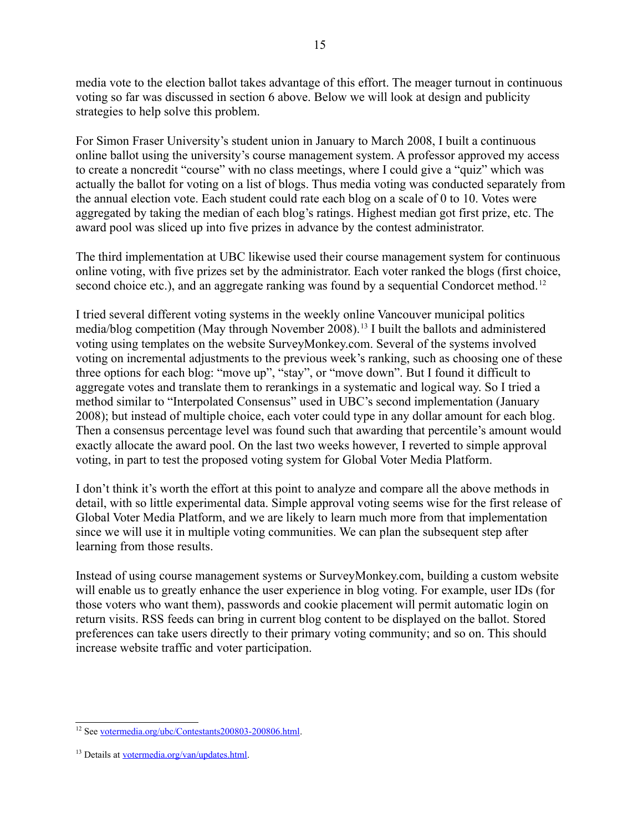media vote to the election ballot takes advantage of this effort. The meager turnout in continuous voting so far was discussed in section 6 above. Below we will look at design and publicity strategies to help solve this problem.

For Simon Fraser University's student union in January to March 2008, I built a continuous online ballot using the university's course management system. A professor approved my access to create a noncredit "course" with no class meetings, where I could give a "quiz" which was actually the ballot for voting on a list of blogs. Thus media voting was conducted separately from the annual election vote. Each student could rate each blog on a scale of 0 to 10. Votes were aggregated by taking the median of each blog's ratings. Highest median got first prize, etc. The award pool was sliced up into five prizes in advance by the contest administrator.

The third implementation at UBC likewise used their course management system for continuous online voting, with five prizes set by the administrator. Each voter ranked the blogs (first choice, second choice etc.), and an aggregate ranking was found by a sequential Condorcet method.<sup>[12](#page-14-0)</sup>

I tried several different voting systems in the weekly online Vancouver municipal politics media/blog competition (May through November 2008).[13](#page-14-1) I built the ballots and administered voting using templates on the website SurveyMonkey.com. Several of the systems involved voting on incremental adjustments to the previous week's ranking, such as choosing one of these three options for each blog: "move up", "stay", or "move down". But I found it difficult to aggregate votes and translate them to rerankings in a systematic and logical way. So I tried a method similar to "Interpolated Consensus" used in UBC's second implementation (January 2008); but instead of multiple choice, each voter could type in any dollar amount for each blog. Then a consensus percentage level was found such that awarding that percentile's amount would exactly allocate the award pool. On the last two weeks however, I reverted to simple approval voting, in part to test the proposed voting system for Global Voter Media Platform.

I don't think it's worth the effort at this point to analyze and compare all the above methods in detail, with so little experimental data. Simple approval voting seems wise for the first release of Global Voter Media Platform, and we are likely to learn much more from that implementation since we will use it in multiple voting communities. We can plan the subsequent step after learning from those results.

Instead of using course management systems or SurveyMonkey.com, building a custom website will enable us to greatly enhance the user experience in blog voting. For example, user IDs (for those voters who want them), passwords and cookie placement will permit automatic login on return visits. RSS feeds can bring in current blog content to be displayed on the ballot. Stored preferences can take users directly to their primary voting community; and so on. This should increase website traffic and voter participation.

<span id="page-14-0"></span><sup>12</sup> See [votermedia.org/ubc/Contestants200803-200806.html.](http://votermedia.org/ubc/Contestants200803-200806.html)

<span id="page-14-1"></span><sup>&</sup>lt;sup>13</sup> Details at [votermedia.org/van/updates.html.](http://votermedia.org/van/updates.html)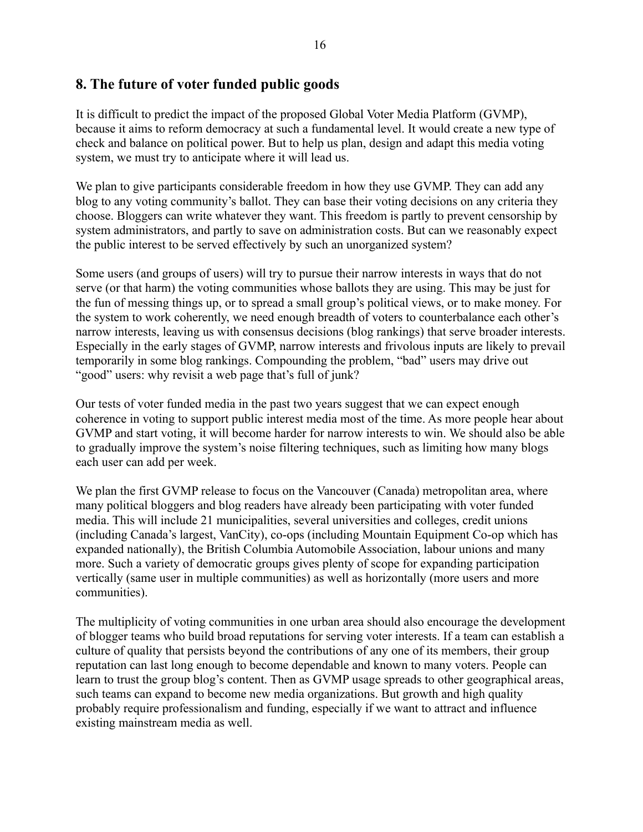# **8. The future of voter funded public goods**

It is difficult to predict the impact of the proposed Global Voter Media Platform (GVMP), because it aims to reform democracy at such a fundamental level. It would create a new type of check and balance on political power. But to help us plan, design and adapt this media voting system, we must try to anticipate where it will lead us.

We plan to give participants considerable freedom in how they use GVMP. They can add any blog to any voting community's ballot. They can base their voting decisions on any criteria they choose. Bloggers can write whatever they want. This freedom is partly to prevent censorship by system administrators, and partly to save on administration costs. But can we reasonably expect the public interest to be served effectively by such an unorganized system?

Some users (and groups of users) will try to pursue their narrow interests in ways that do not serve (or that harm) the voting communities whose ballots they are using. This may be just for the fun of messing things up, or to spread a small group's political views, or to make money. For the system to work coherently, we need enough breadth of voters to counterbalance each other's narrow interests, leaving us with consensus decisions (blog rankings) that serve broader interests. Especially in the early stages of GVMP, narrow interests and frivolous inputs are likely to prevail temporarily in some blog rankings. Compounding the problem, "bad" users may drive out "good" users: why revisit a web page that's full of junk?

Our tests of voter funded media in the past two years suggest that we can expect enough coherence in voting to support public interest media most of the time. As more people hear about GVMP and start voting, it will become harder for narrow interests to win. We should also be able to gradually improve the system's noise filtering techniques, such as limiting how many blogs each user can add per week.

We plan the first GVMP release to focus on the Vancouver (Canada) metropolitan area, where many political bloggers and blog readers have already been participating with voter funded media. This will include 21 municipalities, several universities and colleges, credit unions (including Canada's largest, VanCity), co-ops (including Mountain Equipment Co-op which has expanded nationally), the British Columbia Automobile Association, labour unions and many more. Such a variety of democratic groups gives plenty of scope for expanding participation vertically (same user in multiple communities) as well as horizontally (more users and more communities).

The multiplicity of voting communities in one urban area should also encourage the development of blogger teams who build broad reputations for serving voter interests. If a team can establish a culture of quality that persists beyond the contributions of any one of its members, their group reputation can last long enough to become dependable and known to many voters. People can learn to trust the group blog's content. Then as GVMP usage spreads to other geographical areas, such teams can expand to become new media organizations. But growth and high quality probably require professionalism and funding, especially if we want to attract and influence existing mainstream media as well.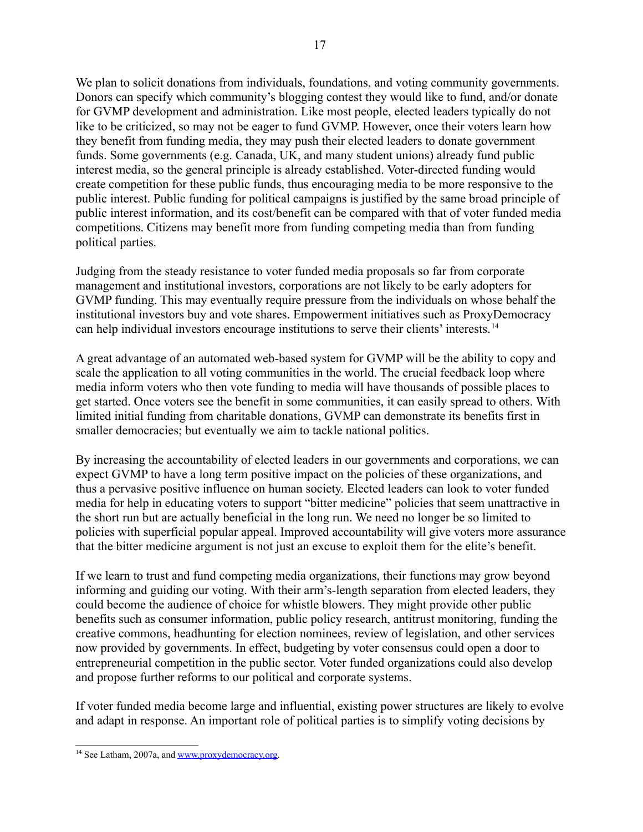We plan to solicit donations from individuals, foundations, and voting community governments. Donors can specify which community's blogging contest they would like to fund, and/or donate for GVMP development and administration. Like most people, elected leaders typically do not like to be criticized, so may not be eager to fund GVMP. However, once their voters learn how they benefit from funding media, they may push their elected leaders to donate government funds. Some governments (e.g. Canada, UK, and many student unions) already fund public interest media, so the general principle is already established. Voter-directed funding would create competition for these public funds, thus encouraging media to be more responsive to the public interest. Public funding for political campaigns is justified by the same broad principle of public interest information, and its cost/benefit can be compared with that of voter funded media competitions. Citizens may benefit more from funding competing media than from funding political parties.

Judging from the steady resistance to voter funded media proposals so far from corporate management and institutional investors, corporations are not likely to be early adopters for GVMP funding. This may eventually require pressure from the individuals on whose behalf the institutional investors buy and vote shares. Empowerment initiatives such as ProxyDemocracy can help individual investors encourage institutions to serve their clients' interests.[14](#page-16-0)

A great advantage of an automated web-based system for GVMP will be the ability to copy and scale the application to all voting communities in the world. The crucial feedback loop where media inform voters who then vote funding to media will have thousands of possible places to get started. Once voters see the benefit in some communities, it can easily spread to others. With limited initial funding from charitable donations, GVMP can demonstrate its benefits first in smaller democracies; but eventually we aim to tackle national politics.

By increasing the accountability of elected leaders in our governments and corporations, we can expect GVMP to have a long term positive impact on the policies of these organizations, and thus a pervasive positive influence on human society. Elected leaders can look to voter funded media for help in educating voters to support "bitter medicine" policies that seem unattractive in the short run but are actually beneficial in the long run. We need no longer be so limited to policies with superficial popular appeal. Improved accountability will give voters more assurance that the bitter medicine argument is not just an excuse to exploit them for the elite's benefit.

If we learn to trust and fund competing media organizations, their functions may grow beyond informing and guiding our voting. With their arm's-length separation from elected leaders, they could become the audience of choice for whistle blowers. They might provide other public benefits such as consumer information, public policy research, antitrust monitoring, funding the creative commons, headhunting for election nominees, review of legislation, and other services now provided by governments. In effect, budgeting by voter consensus could open a door to entrepreneurial competition in the public sector. Voter funded organizations could also develop and propose further reforms to our political and corporate systems.

If voter funded media become large and influential, existing power structures are likely to evolve and adapt in response. An important role of political parties is to simplify voting decisions by

<span id="page-16-0"></span><sup>&</sup>lt;sup>14</sup> See Latham, 2007a, and [www.proxydemocracy.org.](http://www.proxydemocracy.org/)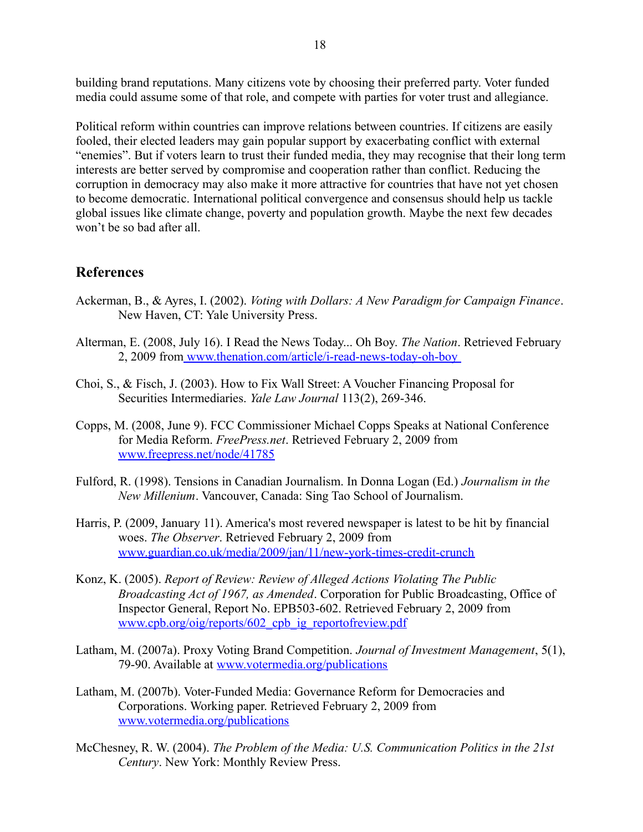building brand reputations. Many citizens vote by choosing their preferred party. Voter funded media could assume some of that role, and compete with parties for voter trust and allegiance.

Political reform within countries can improve relations between countries. If citizens are easily fooled, their elected leaders may gain popular support by exacerbating conflict with external "enemies". But if voters learn to trust their funded media, they may recognise that their long term interests are better served by compromise and cooperation rather than conflict. Reducing the corruption in democracy may also make it more attractive for countries that have not yet chosen to become democratic. International political convergence and consensus should help us tackle global issues like climate change, poverty and population growth. Maybe the next few decades won't be so bad after all.

### **References**

- Ackerman, B., & Ayres, I. (2002). *Voting with Dollars: A New Paradigm for Campaign Finance*. New Haven, CT: Yale University Press.
- Alterman, E. (2008, July 16). I Read the News Today... Oh Boy. *The Nation*. Retrieved February 2, 2009 from [www.thenation.com/article/i-read-news-today-oh-boy](http://www.thenation.com/article/i-read-news-today-oh-boy)
- Choi, S., & Fisch, J. (2003). How to Fix Wall Street: A Voucher Financing Proposal for Securities Intermediaries. *Yale Law Journal* 113(2), 269-346.
- Copps, M. (2008, June 9). FCC Commissioner Michael Copps Speaks at National Conference for Media Reform. *FreePress.net*. Retrieved February 2, 2009 from [www.freepress.net/node/41785](http://www.freepress.net/node/41785)
- Fulford, R. (1998). Tensions in Canadian Journalism. In Donna Logan (Ed.) *Journalism in the New Millenium*. Vancouver, Canada: Sing Tao School of Journalism.
- Harris, P. (2009, January 11). America's most revered newspaper is latest to be hit by financial woes. *The Observer*. Retrieved February 2, 2009 from [www.guardian.co.uk/media/2009/jan/11/new-york-times-credit-crunch](http://www.guardian.co.uk/media/2009/jan/11/new-york-times-credit-crunch)
- Konz, K. (2005). *Report of Review: Review of Alleged Actions Violating The Public Broadcasting Act of 1967, as Amended*. Corporation for Public Broadcasting, Office of Inspector General, Report No. EPB503-602. Retrieved February 2, 2009 from www.cpb.org/oig/reports/602 cpb\_ig\_reportofreview.pdf
- Latham, M. (2007a). Proxy Voting Brand Competition. *Journal of Investment Management*, 5(1), 79-90. Available at [www.votermedia.org/publications](http://www.votermedia.org/publications)
- Latham, M. (2007b). Voter-Funded Media: Governance Reform for Democracies and Corporations. Working paper. Retrieved February 2, 2009 from [www.votermedia.org/publications](http://www.votermedia.org/publications)
- McChesney, R. W. (2004). *The Problem of the Media: U.S. Communication Politics in the 21st Century*. New York: Monthly Review Press.